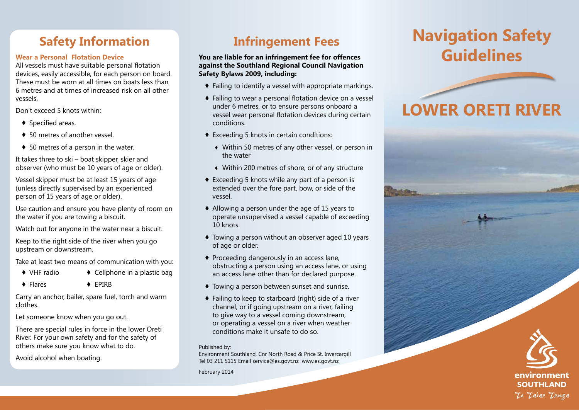## **Safety Information**

#### **Wear a Personal Flotation Device**

All vessels must have suitable personal flotation devices, easily accessible, for each person on board. These must be worn at all times on boats less than 6 metres and at times of increased risk on all other vessels.

Don't exceed 5 knots within:

- ♦ Specified areas.
- ♦ 50 metres of another vessel.
- ♦ 50 metres of a person in the water.

It takes three to ski – boat skipper, skier and observer (who must be 10 years of age or older).

Vessel skipper must be at least 15 years of age (unless directly supervised by an experienced person of 15 years of age or older).

Use caution and ensure you have plenty of room on the water if you are towing a biscuit.

Watch out for anyone in the water near a biscuit.

Keep to the right side of the river when you go upstream or downstream.

Take at least two means of communication with you:

- 
- $\bullet$  VHF radio  $\bullet$  Cellphone in a plastic bag
- ♦ Flares ♦ EPIRB

Carry an anchor, bailer, spare fuel, torch and warm clothes.

Let someone know when you go out.

There are special rules in force in the lower Oreti River. For your own safety and for the safety of others make sure you know what to do.

Avoid alcohol when boating.

## **Infringement Fees**

**You are liable for an infringement fee for offences against the Southland Regional Council Navigation Safety Bylaws 2009, including:**

- ♦ Failing to identify a vessel with appropriate markings.
- ♦ Failing to wear a personal flotation device on a vessel under 6 metres, or to ensure persons onboard a vessel wear personal flotation devices during certain conditions.
- ♦ Exceeding 5 knots in certain conditions:
	- ♦ Within 50 metres of any other vessel, or person in the water
	- ♦ Within 200 metres of shore, or of any structure
- ♦ Exceeding 5 knots while any part of a person is extended over the fore part, bow, or side of the vessel.
- ♦ Allowing a person under the age of 15 years to operate unsupervised a vessel capable of exceeding 10 knots.
- ♦ Towing a person without an observer aged 10 years of age or older.
- ♦ Proceeding dangerously in an access lane, obstructing a person using an access lane, or using an access lane other than for declared purpose.
- ♦ Towing a person between sunset and sunrise.
- ♦ Failing to keep to starboard (right) side of a river channel, or if going upstream on a river, failing to give way to a vessel coming downstream, or operating a vessel on a river when weather conditions make it unsafe to do so.

Published by:

Environment Southland, Cnr North Road & Price St, Invercargill Tel 03 211 5115 Email service@es.govt.nz www.es.govt.nz

February 2014

## **Navigation Safety Guidelines**

# **LOWER ORETI RIVER**



**SOUTHLAND** Te Taiao Tonga